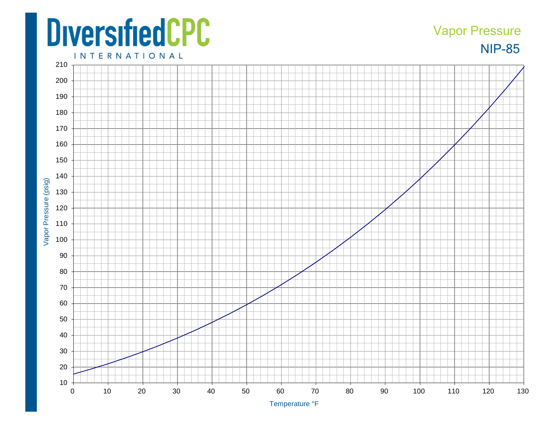## **DiversifiedCPC**

## NIP -85 Vapor Pressure

**INTERNATIONAL**